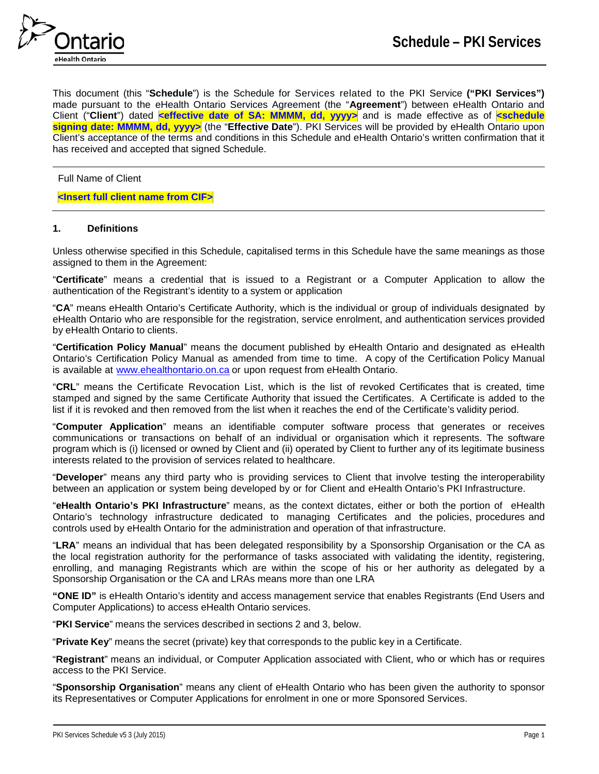

This document (this "**Schedule**") is the Schedule for Services related to the PKI Service **("PKI Services")** made pursuant to the eHealth Ontario Services Agreement (the "**Agreement**") between eHealth Ontario and Client ("**Client**") dated **<effective date of SA: MMMM, dd, yyyy>** and is made effective as of **<schedule signing date: MMMM, dd, yyyy>** (the "**Effective Date**"). PKI Services will be provided by eHealth Ontario upon Client's acceptance of the terms and conditions in this Schedule and eHealth Ontario's written confirmation that it has received and accepted that signed Schedule.

Full Name of Client

### **<Insert full client name from CIF>**

#### **1. Definitions**

Unless otherwise specified in this Schedule, capitalised terms in this Schedule have the same meanings as those assigned to them in the Agreement:

"**Certificate**" means a credential that is issued to a Registrant or a Computer Application to allow the authentication of the Registrant's identity to a system or application

"**CA**" means eHealth Ontario's Certificate Authority, which is the individual or group of individuals designated by eHealth Ontario who are responsible for the registration, service enrolment, and authentication services provided by eHealth Ontario to clients.

"**Certification Policy Manual**" means the document published by eHealth Ontario and designated as eHealth Ontario's Certification Policy Manual as amended from time to time. A copy of the Certification Policy Manual is available at [www.ehealthontario.on.ca](http://www.ehealthontario.on.ca/) or upon request from eHealth Ontario.

"**CRL**" means the Certificate Revocation List, which is the list of revoked Certificates that is created, time stamped and signed by the same Certificate Authority that issued the Certificates. A Certificate is added to the list if it is revoked and then removed from the list when it reaches the end of the Certificate's validity period.

"**Computer Application**" means an identifiable computer software process that generates or receives communications or transactions on behalf of an individual or organisation which it represents. The software program which is (i) licensed or owned by Client and (ii) operated by Client to further any of its legitimate business interests related to the provision of services related to healthcare.

"**Developer**" means any third party who is providing services to Client that involve testing the interoperability between an application or system being developed by or for Client and eHealth Ontario's PKI Infrastructure.

"**eHealth Ontario's PKI Infrastructure**" means, as the context dictates, either or both the portion of eHealth Ontario's technology infrastructure dedicated to managing Certificates and the policies, procedures and controls used by eHealth Ontario for the administration and operation of that infrastructure.

"**LRA**" means an individual that has been delegated responsibility by a Sponsorship Organisation or the CA as the local registration authority for the performance of tasks associated with validating the identity, registering, enrolling, and managing Registrants which are within the scope of his or her authority as delegated by a Sponsorship Organisation or the CA and LRAs means more than one LRA

**"ONE ID"** is eHealth Ontario's identity and access management service that enables Registrants (End Users and Computer Applications) to access eHealth Ontario services.

"**PKI Service**" means the services described in sections 2 and 3, below.

"**Private Key**" means the secret (private) key that corresponds to the public key in a Certificate.

"**Registrant**" means an individual, or Computer Application associated with Client, who or which has or requires access to the PKI Service.

"**Sponsorship Organisation**" means any client of eHealth Ontario who has been given the authority to sponsor its Representatives or Computer Applications for enrolment in one or more Sponsored Services.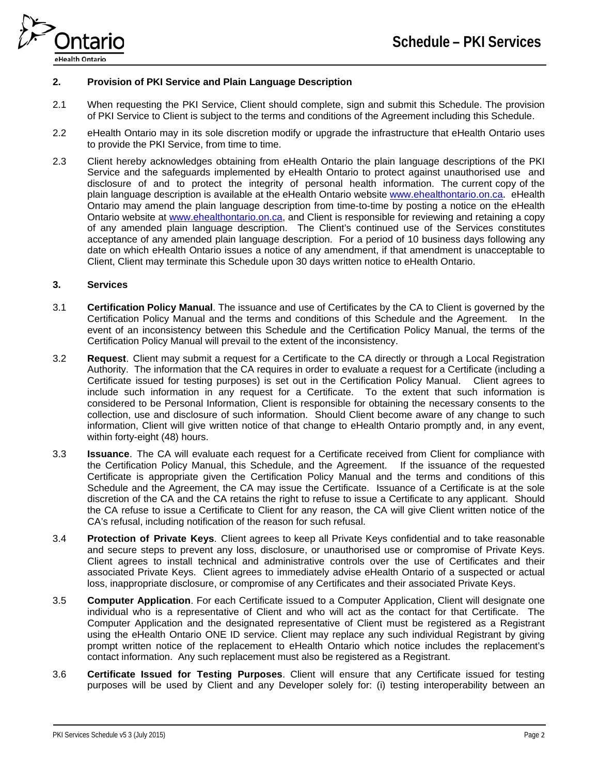

## **2. Provision of PKI Service and Plain Language Description**

- 2.1 When requesting the PKI Service, Client should complete, sign and submit this Schedule. The provision of PKI Service to Client is subject to the terms and conditions of the Agreement including this Schedule.
- 2.2 eHealth Ontario may in its sole discretion modify or upgrade the infrastructure that eHealth Ontario uses to provide the PKI Service, from time to time.
- 2.3 Client hereby acknowledges obtaining from eHealth Ontario the plain language descriptions of the PKI Service and the safeguards implemented by eHealth Ontario to protect against unauthorised use and disclosure of and to protect the integrity of personal health information. The current copy of the plain language description is available at the eHealth Ontario website [www.ehealthontario.on.ca](http://www.ehealthontario.on.ca/). eHealth Ontario may amend the plain language description from time-to-time by posting a notice on the eHealth Ontario website at [www.ehealthontario.on.ca,](http://www.ehealthontario.on.ca/) and Client is responsible for reviewing and retaining a copy of any amended plain language description. The Client's continued use of the Services constitutes acceptance of any amended plain language description. For a period of 10 business days following any date on which eHealth Ontario issues a notice of any amendment, if that amendment is unacceptable to Client, Client may terminate this Schedule upon 30 days written notice to eHealth Ontario.

#### **3. Services**

- 3.1 **Certification Policy Manual**. The issuance and use of Certificates by the CA to Client is governed by the Certification Policy Manual and the terms and conditions of this Schedule and the Agreement. In the event of an inconsistency between this Schedule and the Certification Policy Manual, the terms of the Certification Policy Manual will prevail to the extent of the inconsistency.
- 3.2 **Request**. Client may submit a request for a Certificate to the CA directly or through a Local Registration Authority. The information that the CA requires in order to evaluate a request for a Certificate (including a Certificate issued for testing purposes) is set out in the Certification Policy Manual. Client agrees to include such information in any request for a Certificate. To the extent that such information is considered to be Personal Information, Client is responsible for obtaining the necessary consents to the collection, use and disclosure of such information. Should Client become aware of any change to such information, Client will give written notice of that change to eHealth Ontario promptly and, in any event, within forty-eight (48) hours.
- 3.3 **Issuance**. The CA will evaluate each request for a Certificate received from Client for compliance with the Certification Policy Manual, this Schedule, and the Agreement. If the issuance of the requested Certificate is appropriate given the Certification Policy Manual and the terms and conditions of this Schedule and the Agreement, the CA may issue the Certificate. Issuance of a Certificate is at the sole discretion of the CA and the CA retains the right to refuse to issue a Certificate to any applicant. Should the CA refuse to issue a Certificate to Client for any reason, the CA will give Client written notice of the CA's refusal, including notification of the reason for such refusal.
- 3.4 **Protection of Private Keys**. Client agrees to keep all Private Keys confidential and to take reasonable and secure steps to prevent any loss, disclosure, or unauthorised use or compromise of Private Keys. Client agrees to install technical and administrative controls over the use of Certificates and their associated Private Keys. Client agrees to immediately advise eHealth Ontario of a suspected or actual loss, inappropriate disclosure, or compromise of any Certificates and their associated Private Keys.
- 3.5 **Computer Application**. For each Certificate issued to a Computer Application, Client will designate one individual who is a representative of Client and who will act as the contact for that Certificate. The Computer Application and the designated representative of Client must be registered as a Registrant using the eHealth Ontario ONE ID service. Client may replace any such individual Registrant by giving prompt written notice of the replacement to eHealth Ontario which notice includes the replacement's contact information. Any such replacement must also be registered as a Registrant.
- 3.6 **Certificate Issued for Testing Purposes**. Client will ensure that any Certificate issued for testing purposes will be used by Client and any Developer solely for: (i) testing interoperability between an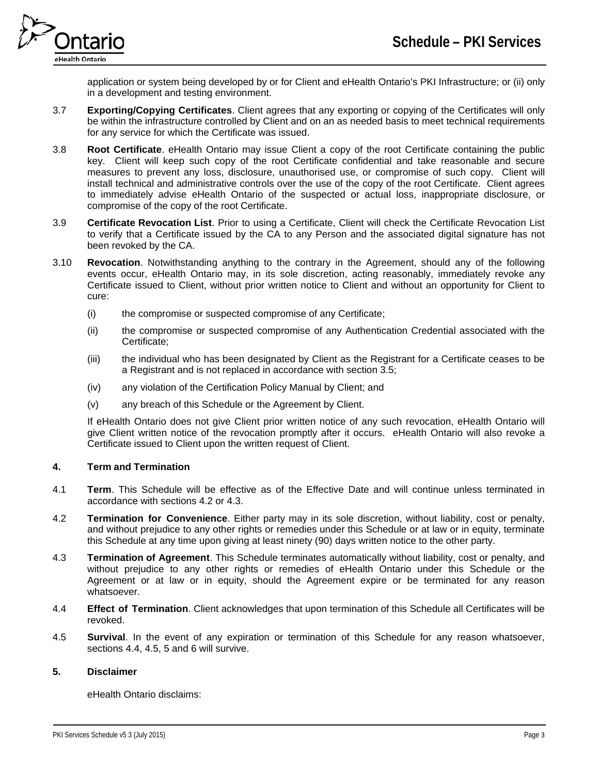

application or system being developed by or for Client and eHealth Ontario's PKI Infrastructure; or (ii) only in a development and testing environment.

- 3.7 **Exporting/Copying Certificates**. Client agrees that any exporting or copying of the Certificates will only be within the infrastructure controlled by Client and on an as needed basis to meet technical requirements for any service for which the Certificate was issued.
- 3.8 **Root Certificate**. eHealth Ontario may issue Client a copy of the root Certificate containing the public key. Client will keep such copy of the root Certificate confidential and take reasonable and secure measures to prevent any loss, disclosure, unauthorised use, or compromise of such copy. Client will install technical and administrative controls over the use of the copy of the root Certificate. Client agrees to immediately advise eHealth Ontario of the suspected or actual loss, inappropriate disclosure, or compromise of the copy of the root Certificate.
- 3.9 **Certificate Revocation List**. Prior to using a Certificate, Client will check the Certificate Revocation List to verify that a Certificate issued by the CA to any Person and the associated digital signature has not been revoked by the CA.
- 3.10 **Revocation**. Notwithstanding anything to the contrary in the Agreement, should any of the following events occur, eHealth Ontario may, in its sole discretion, acting reasonably, immediately revoke any Certificate issued to Client, without prior written notice to Client and without an opportunity for Client to cure:
	- (i) the compromise or suspected compromise of any Certificate;
	- (ii) the compromise or suspected compromise of any Authentication Credential associated with the Certificate;
	- (iii) the individual who has been designated by Client as the Registrant for a Certificate ceases to be a Registrant and is not replaced in accordance with section 3.5;
	- (iv) any violation of the Certification Policy Manual by Client; and
	- (v) any breach of this Schedule or the Agreement by Client.

If eHealth Ontario does not give Client prior written notice of any such revocation, eHealth Ontario will give Client written notice of the revocation promptly after it occurs. eHealth Ontario will also revoke a Certificate issued to Client upon the written request of Client.

# **4. Term and Termination**

- 4.1 **Term**. This Schedule will be effective as of the Effective Date and will continue unless terminated in accordance with sections 4.2 or 4.3.
- 4.2 **Termination for Convenience**. Either party may in its sole discretion, without liability, cost or penalty, and without prejudice to any other rights or remedies under this Schedule or at law or in equity, terminate this Schedule at any time upon giving at least ninety (90) days written notice to the other party.
- 4.3 **Termination of Agreement**. This Schedule terminates automatically without liability, cost or penalty, and without prejudice to any other rights or remedies of eHealth Ontario under this Schedule or the Agreement or at law or in equity, should the Agreement expire or be terminated for any reason whatsoever.
- 4.4 **Effect of Termination**. Client acknowledges that upon termination of this Schedule all Certificates will be revoked.
- 4.5 **Survival**. In the event of any expiration or termination of this Schedule for any reason whatsoever, sections 4.4, 4.5, 5 and 6 will survive.

# **5. Disclaimer**

eHealth Ontario disclaims: